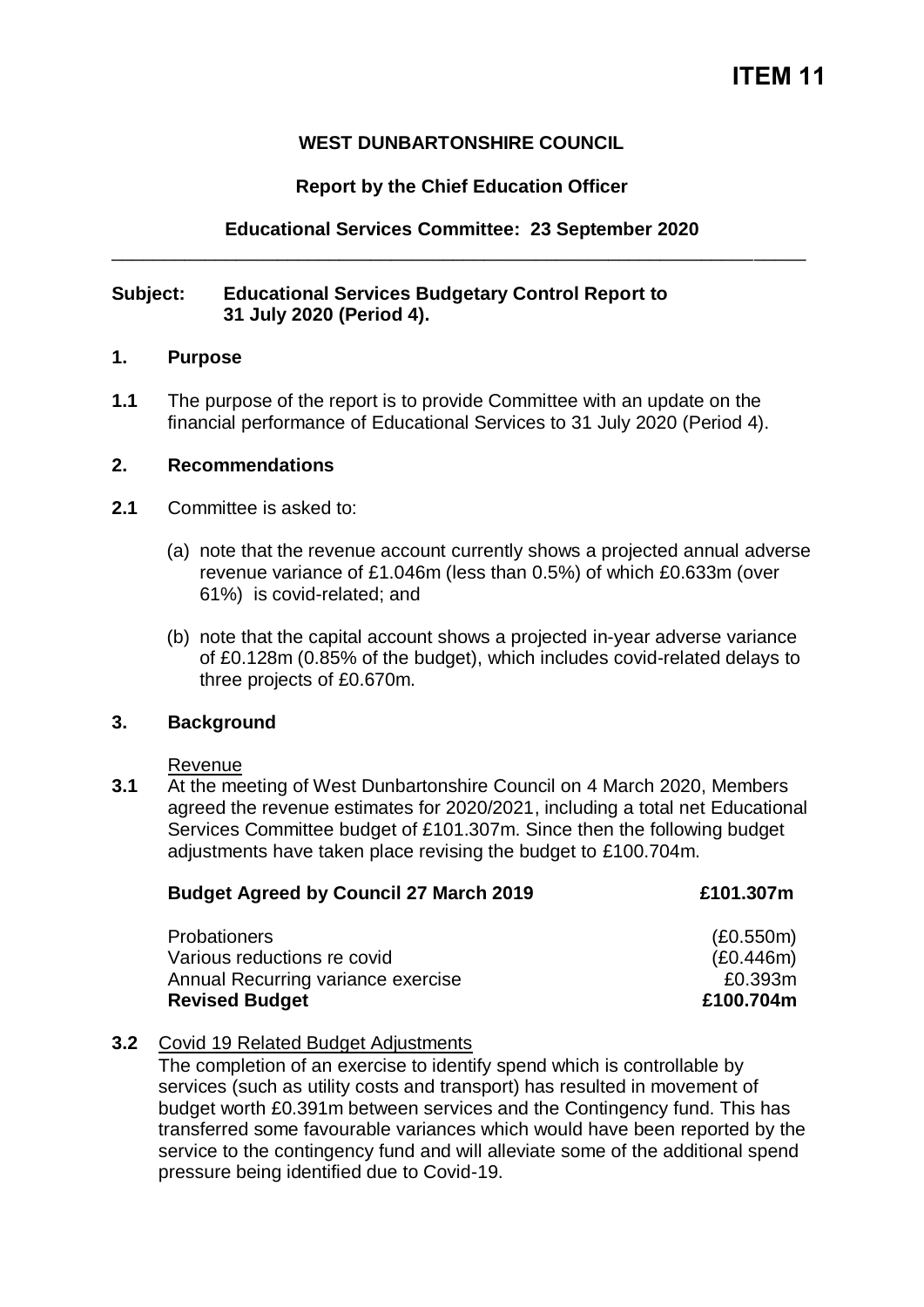## **WEST DUNBARTONSHIRE COUNCIL**

## **Report by the Chief Education Officer**

## **Educational Services Committee: 23 September 2020** \_\_\_\_\_\_\_\_\_\_\_\_\_\_\_\_\_\_\_\_\_\_\_\_\_\_\_\_\_\_\_\_\_\_\_\_\_\_\_\_\_\_\_\_\_\_\_\_\_\_\_\_\_\_\_\_\_\_\_\_\_\_\_\_\_\_\_

#### **Subject: Educational Services Budgetary Control Report to 31 July 2020 (Period 4).**

#### **1. Purpose**

**1.1** The purpose of the report is to provide Committee with an update on the financial performance of Educational Services to 31 July 2020 (Period 4).

#### **2. Recommendations**

- **2.1** Committee is asked to:
	- (a) note that the revenue account currently shows a projected annual adverse revenue variance of £1.046m (less than 0.5%) of which £0.633m (over 61%) is covid-related; and
	- (b) note that the capital account shows a projected in-year adverse variance of £0.128m (0.85% of the budget), which includes covid-related delays to three projects of £0.670m.

### **3. Background**

Revenue

**3.1** At the meeting of West Dunbartonshire Council on 4 March 2020, Members agreed the revenue estimates for 2020/2021, including a total net Educational Services Committee budget of £101.307m. Since then the following budget adjustments have taken place revising the budget to £100.704m.

| <b>Budget Agreed by Council 27 March 2019</b> | £101.307m |
|-----------------------------------------------|-----------|
| Probationers                                  | (E0.550m) |
| Various reductions re covid                   | (E0.446m) |
| Annual Recurring variance exercise            | £0.393m   |
| <b>Revised Budget</b>                         | £100.704m |

### **3.2** Covid 19 Related Budget Adjustments

The completion of an exercise to identify spend which is controllable by services (such as utility costs and transport) has resulted in movement of budget worth £0.391m between services and the Contingency fund. This has transferred some favourable variances which would have been reported by the service to the contingency fund and will alleviate some of the additional spend pressure being identified due to Covid-19.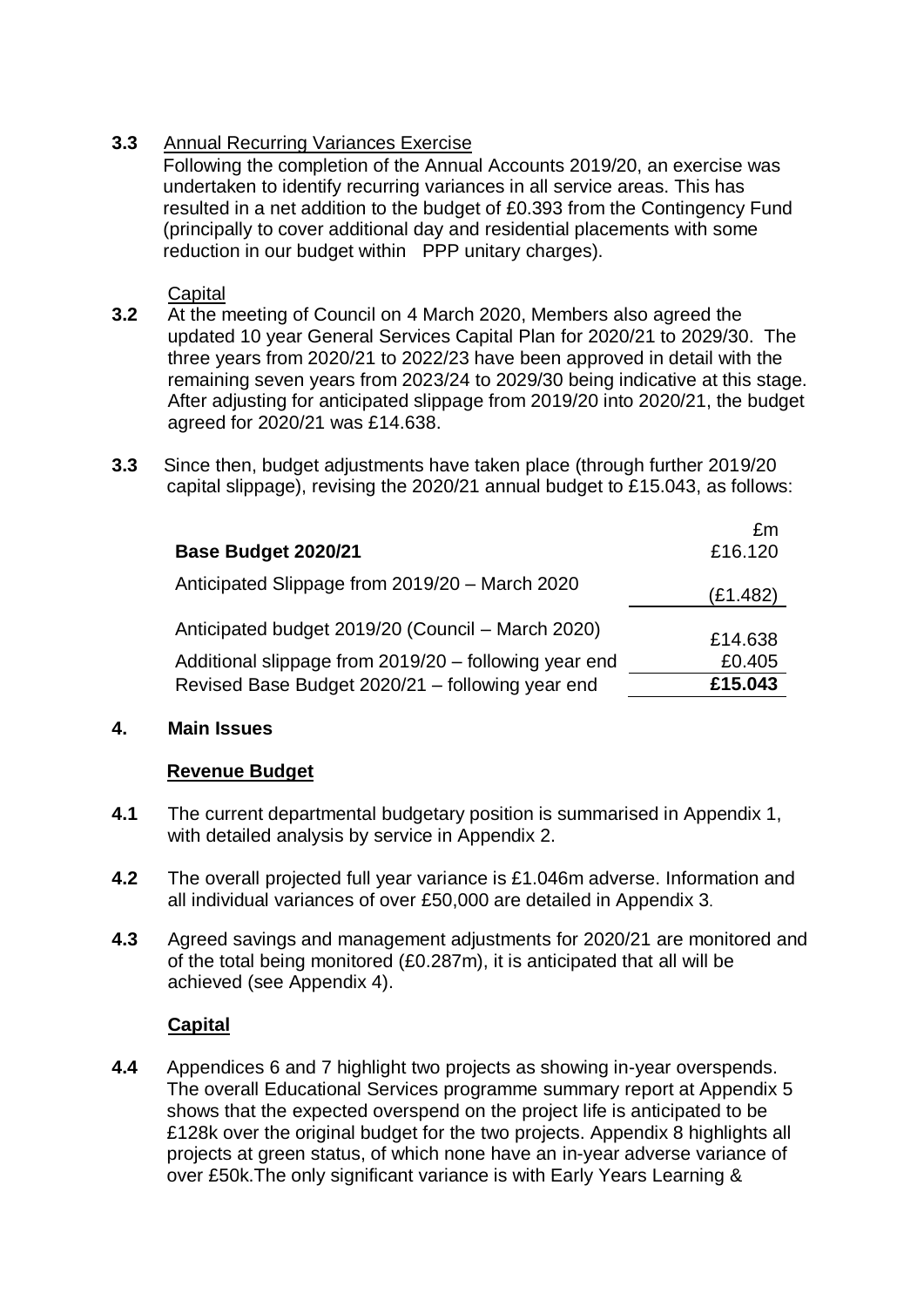# **3.3** Annual Recurring Variances Exercise

Following the completion of the Annual Accounts 2019/20, an exercise was undertaken to identify recurring variances in all service areas. This has resulted in a net addition to the budget of £0.393 from the Contingency Fund (principally to cover additional day and residential placements with some reduction in our budget within PPP unitary charges).

## **Capital**

- **3.2** At the meeting of Council on 4 March 2020, Members also agreed the updated 10 year General Services Capital Plan for 2020/21 to 2029/30. The three years from 2020/21 to 2022/23 have been approved in detail with the remaining seven years from 2023/24 to 2029/30 being indicative at this stage. After adjusting for anticipated slippage from 2019/20 into 2020/21, the budget agreed for 2020/21 was £14.638.
- **3.3** Since then, budget adjustments have taken place (through further 2019/20 capital slippage), revising the 2020/21 annual budget to £15.043, as follows:

|                                                       | £m       |
|-------------------------------------------------------|----------|
| Base Budget 2020/21                                   | £16.120  |
| Anticipated Slippage from 2019/20 - March 2020        | (E1.482) |
| Anticipated budget 2019/20 (Council – March 2020)     | £14.638  |
| Additional slippage from 2019/20 - following year end | £0.405   |
| Revised Base Budget 2020/21 - following year end      | £15.043  |

# **4. Main Issues**

# **Revenue Budget**

- **4.1** The current departmental budgetary position is summarised in Appendix 1, with detailed analysis by service in Appendix 2.
- **4.2** The overall projected full year variance is £1.046m adverse. Information and all individual variances of over £50,000 are detailed in Appendix 3.
- **4.3** Agreed savings and management adjustments for 2020/21 are monitored and of the total being monitored (£0.287m), it is anticipated that all will be achieved (see Appendix 4).

# **Capital**

**4.4** Appendices 6 and 7 highlight two projects as showing in-year overspends. The overall Educational Services programme summary report at Appendix 5 shows that the expected overspend on the project life is anticipated to be £128k over the original budget for the two projects. Appendix 8 highlights all projects at green status, of which none have an in-year adverse variance of over £50k.The only significant variance is with Early Years Learning &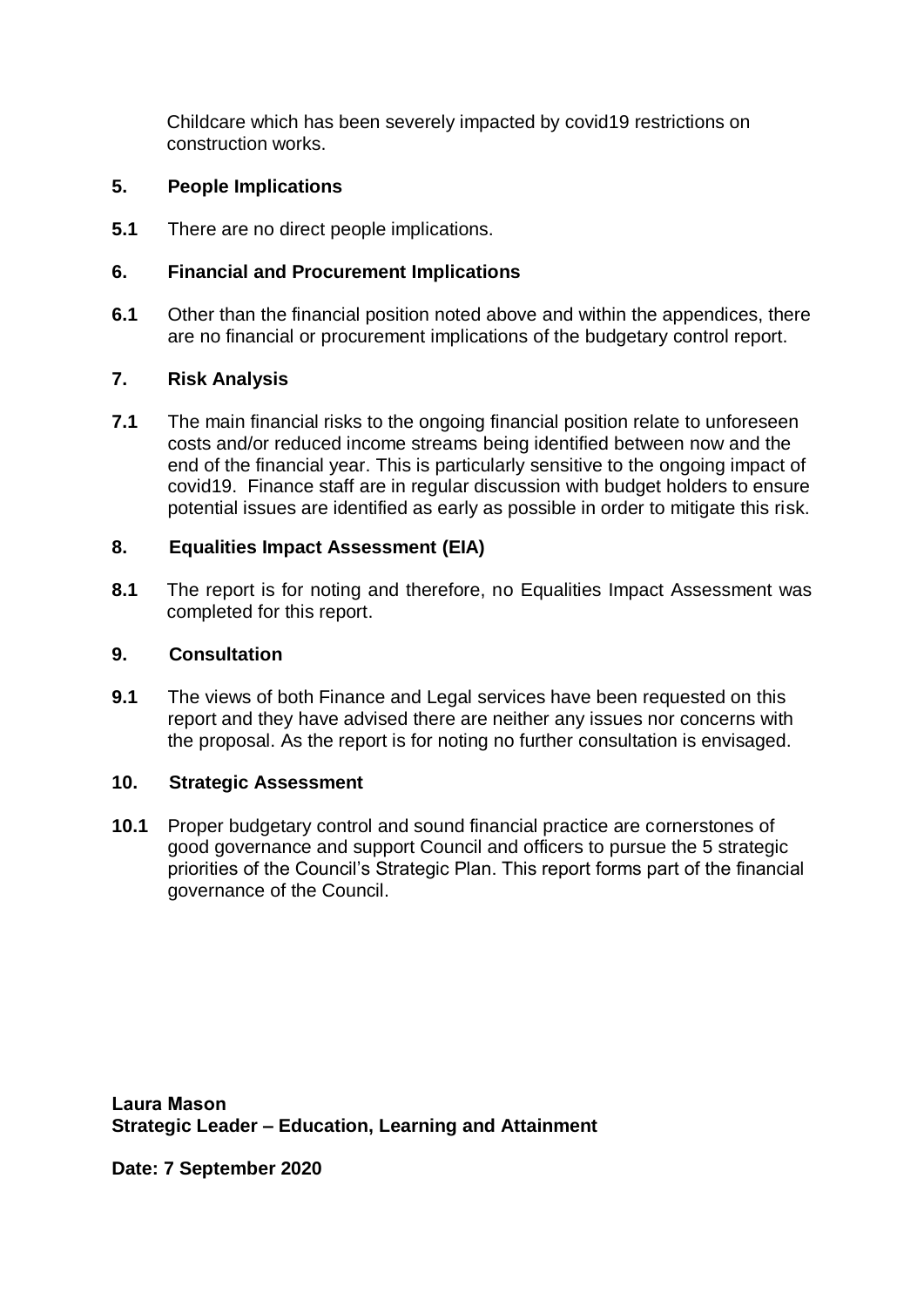Childcare which has been severely impacted by covid19 restrictions on construction works.

## **5. People Implications**

**5.1** There are no direct people implications.

## **6. Financial and Procurement Implications**

**6.1** Other than the financial position noted above and within the appendices, there are no financial or procurement implications of the budgetary control report.

## **7. Risk Analysis**

**7.1** The main financial risks to the ongoing financial position relate to unforeseen costs and/or reduced income streams being identified between now and the end of the financial year. This is particularly sensitive to the ongoing impact of covid19. Finance staff are in regular discussion with budget holders to ensure potential issues are identified as early as possible in order to mitigate this risk.

## **8. Equalities Impact Assessment (EIA)**

**8.1** The report is for noting and therefore, no Equalities Impact Assessment was completed for this report.

## **9. Consultation**

**9.1** The views of both Finance and Legal services have been requested on this report and they have advised there are neither any issues nor concerns with the proposal. As the report is for noting no further consultation is envisaged.

### **10. Strategic Assessment**

**10.1** Proper budgetary control and sound financial practice are cornerstones of good governance and support Council and officers to pursue the 5 strategic priorities of the Council's Strategic Plan. This report forms part of the financial governance of the Council.

**Laura Mason Strategic Leader – Education, Learning and Attainment** 

**Date: 7 September 2020**